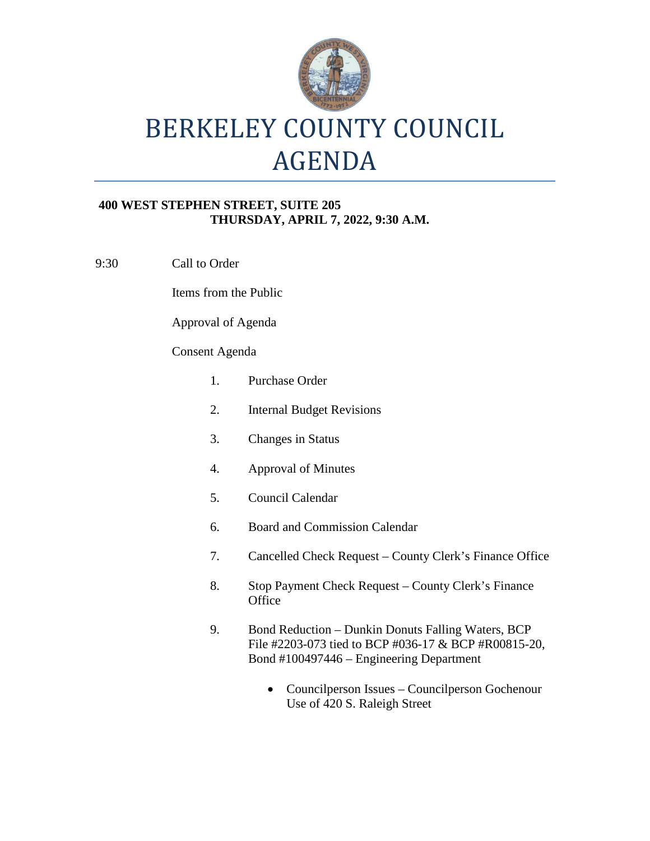

# BERKELEY COUNTY COUNCIL AGENDA

#### **400 WEST STEPHEN STREET, SUITE 205 THURSDAY, APRIL 7, 2022, 9:30 A.M.**

9:30 Call to Order

Items from the Public

Approval of Agenda

### Consent Agenda

| 1. | Purchase Order                                                                                                                                         |
|----|--------------------------------------------------------------------------------------------------------------------------------------------------------|
| 2. | <b>Internal Budget Revisions</b>                                                                                                                       |
| 3. | <b>Changes in Status</b>                                                                                                                               |
| 4. | <b>Approval of Minutes</b>                                                                                                                             |
| 5. | Council Calendar                                                                                                                                       |
| 6. | <b>Board and Commission Calendar</b>                                                                                                                   |
| 7. | Cancelled Check Request – County Clerk's Finance Office                                                                                                |
| 8. | Stop Payment Check Request – County Clerk's Finance<br>Office                                                                                          |
| 9. | Bond Reduction – Dunkin Donuts Falling Waters, BCP<br>File #2203-073 tied to BCP #036-17 & BCP #R00815-20,<br>Bond #100497446 – Engineering Department |
|    | Councilperson Issues - Councilperson Gochenour<br>Use of 420 S. Raleigh Street                                                                         |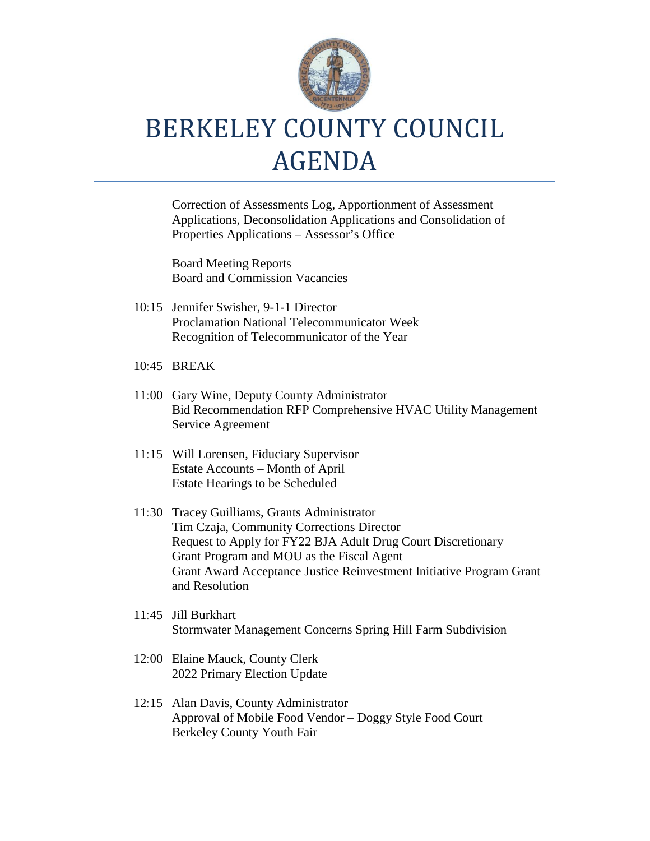

# BERKELEY COUNTY COUNCIL AGENDA

Correction of Assessments Log, Apportionment of Assessment Applications, Deconsolidation Applications and Consolidation of Properties Applications – Assessor's Office

Board Meeting Reports Board and Commission Vacancies

- 10:15 Jennifer Swisher, 9-1-1 Director Proclamation National Telecommunicator Week Recognition of Telecommunicator of the Year
- 10:45 BREAK
- 11:00 Gary Wine, Deputy County Administrator Bid Recommendation RFP Comprehensive HVAC Utility Management Service Agreement
- 11:15 Will Lorensen, Fiduciary Supervisor Estate Accounts – Month of April Estate Hearings to be Scheduled
- 11:30 Tracey Guilliams, Grants Administrator Tim Czaja, Community Corrections Director Request to Apply for FY22 BJA Adult Drug Court Discretionary Grant Program and MOU as the Fiscal Agent Grant Award Acceptance Justice Reinvestment Initiative Program Grant and Resolution
- 11:45 Jill Burkhart Stormwater Management Concerns Spring Hill Farm Subdivision
- 12:00 Elaine Mauck, County Clerk 2022 Primary Election Update
- 12:15 Alan Davis, County Administrator Approval of Mobile Food Vendor – Doggy Style Food Court Berkeley County Youth Fair